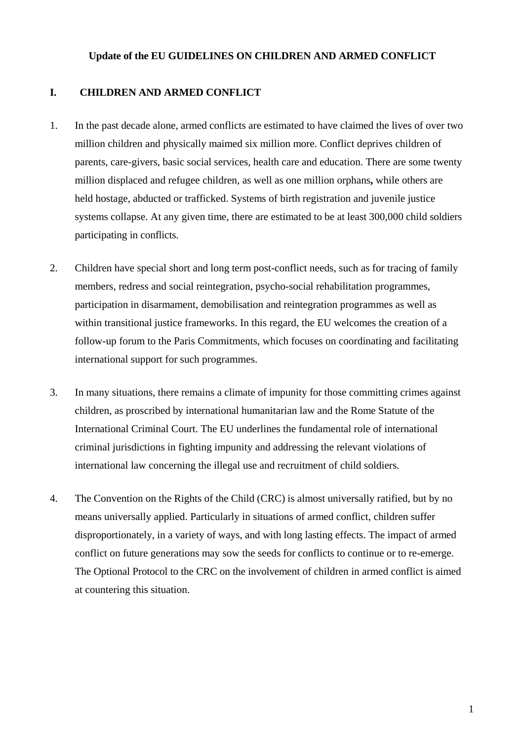#### **Update of the EU GUIDELINES ON CHILDREN AND ARMED CONFLICT**

## **I. CHILDREN AND ARMED CONFLICT**

- 1. In the past decade alone, armed conflicts are estimated to have claimed the lives of over two million children and physically maimed six million more. Conflict deprives children of parents, care-givers, basic social services, health care and education. There are some twenty million displaced and refugee children, as well as one million orphans**,** while others are held hostage, abducted or trafficked. Systems of birth registration and juvenile justice systems collapse. At any given time, there are estimated to be at least 300,000 child soldiers participating in conflicts.
- 2. Children have special short and long term post-conflict needs, such as for tracing of family members, redress and social reintegration, psycho-social rehabilitation programmes, participation in disarmament, demobilisation and reintegration programmes as well as within transitional justice frameworks. In this regard, the EU welcomes the creation of a follow-up forum to the Paris Commitments, which focuses on coordinating and facilitating international support for such programmes.
- 3. In many situations, there remains a climate of impunity for those committing crimes against children, as proscribed by international humanitarian law and the Rome Statute of the International Criminal Court. The EU underlines the fundamental role of international criminal jurisdictions in fighting impunity and addressing the relevant violations of international law concerning the illegal use and recruitment of child soldiers.
- 4. The Convention on the Rights of the Child (CRC) is almost universally ratified, but by no means universally applied. Particularly in situations of armed conflict, children suffer disproportionately, in a variety of ways, and with long lasting effects. The impact of armed conflict on future generations may sow the seeds for conflicts to continue or to re-emerge. The Optional Protocol to the CRC on the involvement of children in armed conflict is aimed at countering this situation.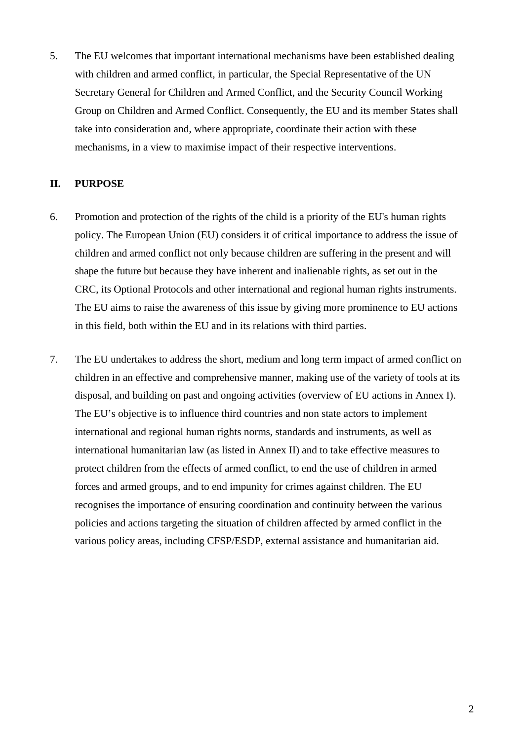5. The EU welcomes that important international mechanisms have been established dealing with children and armed conflict, in particular, the Special Representative of the UN Secretary General for Children and Armed Conflict, and the Security Council Working Group on Children and Armed Conflict. Consequently, the EU and its member States shall take into consideration and, where appropriate, coordinate their action with these mechanisms, in a view to maximise impact of their respective interventions.

### **II. PURPOSE**

- 6. Promotion and protection of the rights of the child is a priority of the EU's human rights policy. The European Union (EU) considers it of critical importance to address the issue of children and armed conflict not only because children are suffering in the present and will shape the future but because they have inherent and inalienable rights, as set out in the CRC, its Optional Protocols and other international and regional human rights instruments. The EU aims to raise the awareness of this issue by giving more prominence to EU actions in this field, both within the EU and in its relations with third parties.
- 7. The EU undertakes to address the short, medium and long term impact of armed conflict on children in an effective and comprehensive manner, making use of the variety of tools at its disposal, and building on past and ongoing activities (overview of EU actions in Annex I). The EU's objective is to influence third countries and non state actors to implement international and regional human rights norms, standards and instruments, as well as international humanitarian law (as listed in Annex II) and to take effective measures to protect children from the effects of armed conflict, to end the use of children in armed forces and armed groups, and to end impunity for crimes against children. The EU recognises the importance of ensuring coordination and continuity between the various policies and actions targeting the situation of children affected by armed conflict in the various policy areas, including CFSP/ESDP, external assistance and humanitarian aid.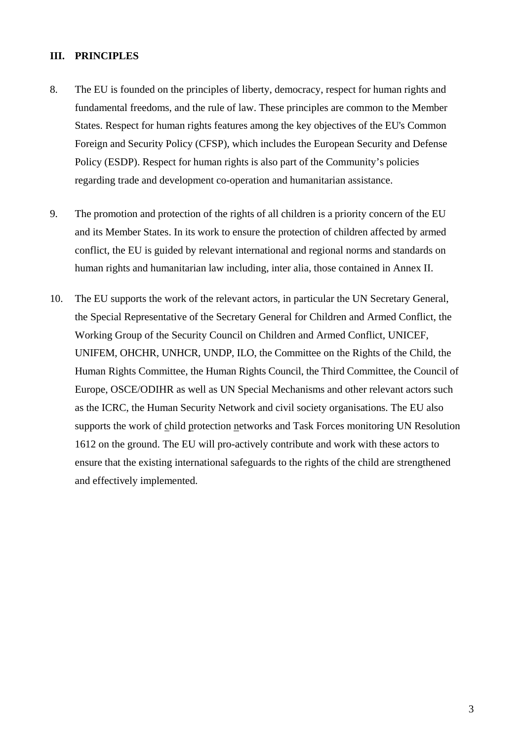#### **III. PRINCIPLES**

- 8. The EU is founded on the principles of liberty, democracy, respect for human rights and fundamental freedoms, and the rule of law. These principles are common to the Member States. Respect for human rights features among the key objectives of the EU's Common Foreign and Security Policy (CFSP), which includes the European Security and Defense Policy (ESDP). Respect for human rights is also part of the Community's policies regarding trade and development co-operation and humanitarian assistance.
- 9. The promotion and protection of the rights of all children is a priority concern of the EU and its Member States. In its work to ensure the protection of children affected by armed conflict, the EU is guided by relevant international and regional norms and standards on human rights and humanitarian law including, inter alia, those contained in Annex II.
- 10. The EU supports the work of the relevant actors, in particular the UN Secretary General, the Special Representative of the Secretary General for Children and Armed Conflict, the Working Group of the Security Council on Children and Armed Conflict, UNICEF, UNIFEM, OHCHR, UNHCR, UNDP, ILO, the Committee on the Rights of the Child, the Human Rights Committee, the Human Rights Council, the Third Committee, the Council of Europe, OSCE/ODIHR as well as UN Special Mechanisms and other relevant actors such as the ICRC, the Human Security Network and civil society organisations. The EU also supports the work of child protection networks and Task Forces monitoring UN Resolution 1612 on the ground. The EU will pro-actively contribute and work with these actors to ensure that the existing international safeguards to the rights of the child are strengthened and effectively implemented.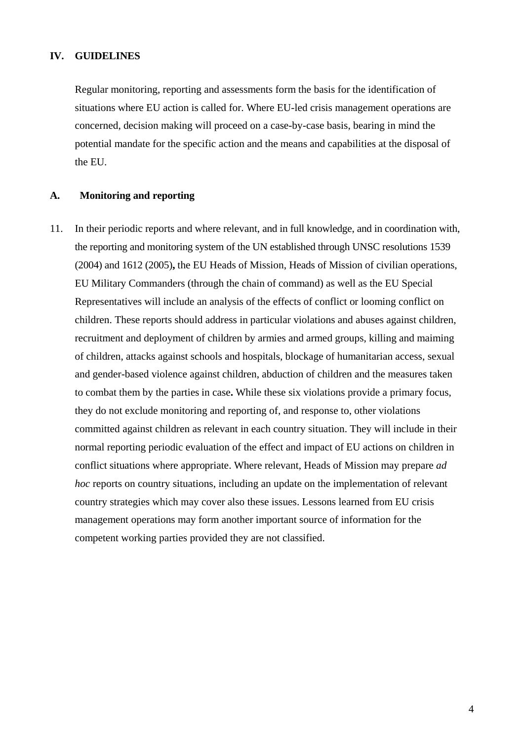#### **IV. GUIDELINES**

Regular monitoring, reporting and assessments form the basis for the identification of situations where EU action is called for. Where EU-led crisis management operations are concerned, decision making will proceed on a case-by-case basis, bearing in mind the potential mandate for the specific action and the means and capabilities at the disposal of the EU.

#### **A. Monitoring and reporting**

11. In their periodic reports and where relevant, and in full knowledge, and in coordination with, the reporting and monitoring system of the UN established through UNSC resolutions 1539 (2004) and 1612 (2005)**,** the EU Heads of Mission, Heads of Mission of civilian operations, EU Military Commanders (through the chain of command) as well as the EU Special Representatives will include an analysis of the effects of conflict or looming conflict on children. These reports should address in particular violations and abuses against children, recruitment and deployment of children by armies and armed groups, killing and maiming of children, attacks against schools and hospitals, blockage of humanitarian access, sexual and gender-based violence against children, abduction of children and the measures taken to combat them by the parties in case**.** While these six violations provide a primary focus, they do not exclude monitoring and reporting of, and response to, other violations committed against children as relevant in each country situation. They will include in their normal reporting periodic evaluation of the effect and impact of EU actions on children in conflict situations where appropriate. Where relevant, Heads of Mission may prepare *ad hoc* reports on country situations, including an update on the implementation of relevant country strategies which may cover also these issues. Lessons learned from EU crisis management operations may form another important source of information for the competent working parties provided they are not classified.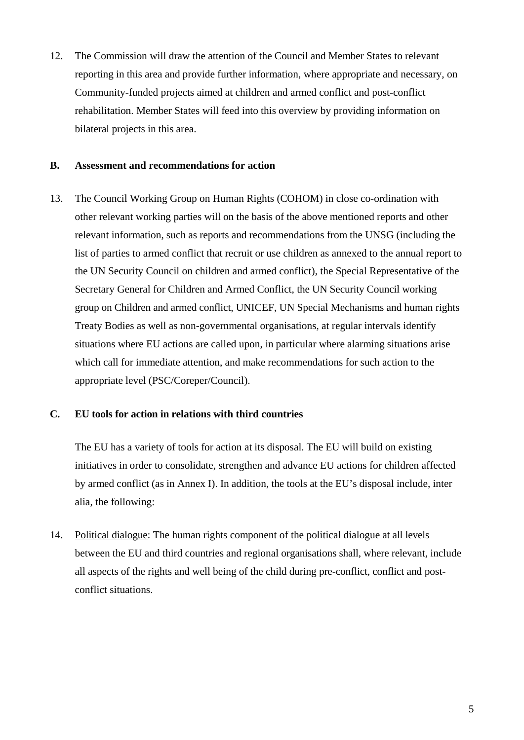12. The Commission will draw the attention of the Council and Member States to relevant reporting in this area and provide further information, where appropriate and necessary, on Community-funded projects aimed at children and armed conflict and post-conflict rehabilitation. Member States will feed into this overview by providing information on bilateral projects in this area.

#### **B. Assessment and recommendations for action**

13. The Council Working Group on Human Rights (COHOM) in close co-ordination with other relevant working parties will on the basis of the above mentioned reports and other relevant information, such as reports and recommendations from the UNSG (including the list of parties to armed conflict that recruit or use children as annexed to the annual report to the UN Security Council on children and armed conflict), the Special Representative of the Secretary General for Children and Armed Conflict, the UN Security Council working group on Children and armed conflict, UNICEF, UN Special Mechanisms and human rights Treaty Bodies as well as non-governmental organisations, at regular intervals identify situations where EU actions are called upon, in particular where alarming situations arise which call for immediate attention, and make recommendations for such action to the appropriate level (PSC/Coreper/Council).

### **C. EU tools for action in relations with third countries**

The EU has a variety of tools for action at its disposal. The EU will build on existing initiatives in order to consolidate, strengthen and advance EU actions for children affected by armed conflict (as in Annex I). In addition, the tools at the EU's disposal include, inter alia, the following:

14. Political dialogue: The human rights component of the political dialogue at all levels between the EU and third countries and regional organisations shall, where relevant, include all aspects of the rights and well being of the child during pre-conflict, conflict and postconflict situations.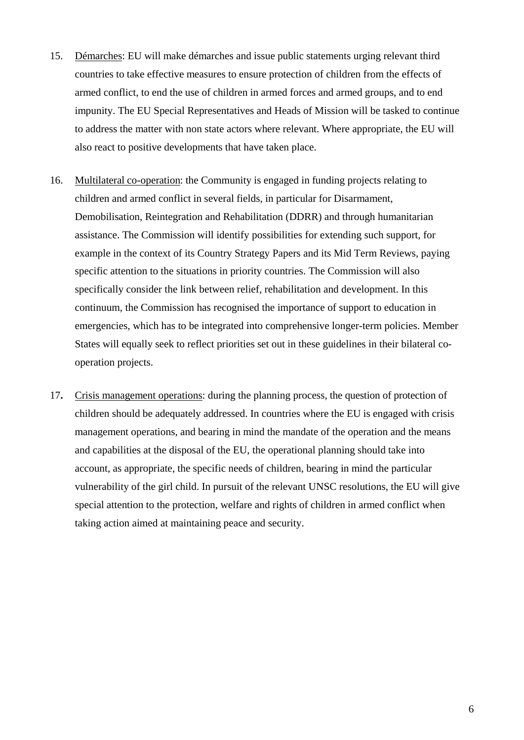- 15. Démarches: EU will make démarches and issue public statements urging relevant third countries to take effective measures to ensure protection of children from the effects of armed conflict, to end the use of children in armed forces and armed groups, and to end impunity. The EU Special Representatives and Heads of Mission will be tasked to continue to address the matter with non state actors where relevant. Where appropriate, the EU will also react to positive developments that have taken place.
- 16. Multilateral co-operation: the Community is engaged in funding projects relating to children and armed conflict in several fields, in particular for Disarmament, Demobilisation, Reintegration and Rehabilitation (DDRR) and through humanitarian assistance. The Commission will identify possibilities for extending such support, for example in the context of its Country Strategy Papers and its Mid Term Reviews, paying specific attention to the situations in priority countries. The Commission will also specifically consider the link between relief, rehabilitation and development. In this continuum, the Commission has recognised the importance of support to education in emergencies, which has to be integrated into comprehensive longer-term policies. Member States will equally seek to reflect priorities set out in these guidelines in their bilateral cooperation projects.
- 17**.** Crisis management operations: during the planning process, the question of protection of children should be adequately addressed. In countries where the EU is engaged with crisis management operations, and bearing in mind the mandate of the operation and the means and capabilities at the disposal of the EU, the operational planning should take into account, as appropriate, the specific needs of children, bearing in mind the particular vulnerability of the girl child. In pursuit of the relevant UNSC resolutions, the EU will give special attention to the protection, welfare and rights of children in armed conflict when taking action aimed at maintaining peace and security.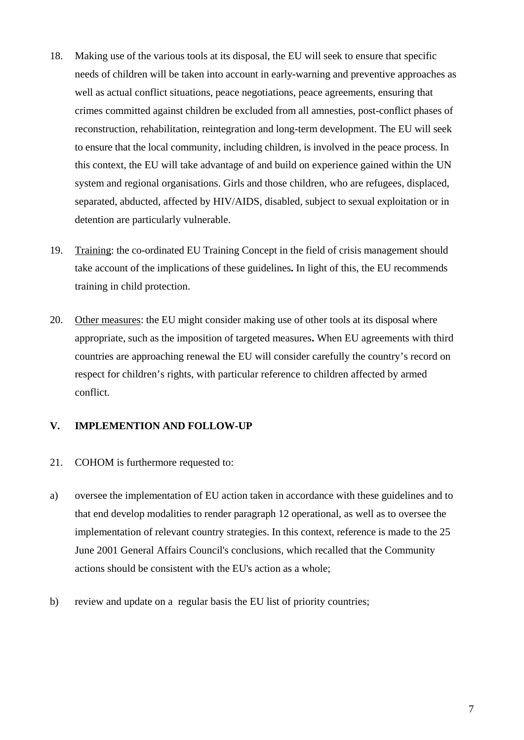- 18. Making use of the various tools at its disposal, the EU will seek to ensure that specific needs of children will be taken into account in early-warning and preventive approaches as well as actual conflict situations, peace negotiations, peace agreements, ensuring that crimes committed against children be excluded from all amnesties, post-conflict phases of reconstruction, rehabilitation, reintegration and long-term development. The EU will seek to ensure that the local community, including children, is involved in the peace process. In this context, the EU will take advantage of and build on experience gained within the UN system and regional organisations. Girls and those children, who are refugees, displaced, separated, abducted, affected by HIV/AIDS, disabled, subject to sexual exploitation or in detention are particularly vulnerable.
- 19. Training: the co-ordinated EU Training Concept in the field of crisis management should take account of the implications of these guidelines**.** In light of this, the EU recommends training in child protection.
- 20. Other measures: the EU might consider making use of other tools at its disposal where appropriate, such as the imposition of targeted measures**.** When EU agreements with third countries are approaching renewal the EU will consider carefully the country's record on respect for children's rights, with particular reference to children affected by armed conflict.

#### **V. IMPLEMENTION AND FOLLOW-UP**

- 21. COHOM is furthermore requested to:
- a) oversee the implementation of EU action taken in accordance with these guidelines and to that end develop modalities to render paragraph 12 operational, as well as to oversee the implementation of relevant country strategies. In this context, reference is made to the 25 June 2001 General Affairs Council's conclusions, which recalled that the Community actions should be consistent with the EU's action as a whole;
- b) review and update on a regular basis the EU list of priority countries;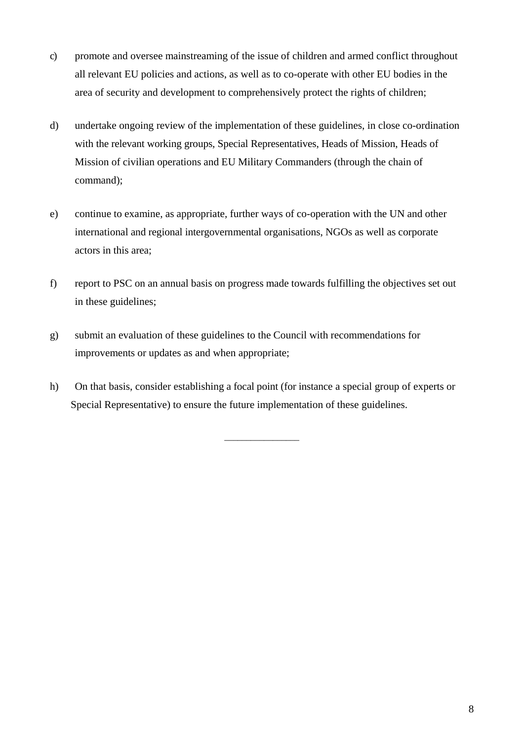- c) promote and oversee mainstreaming of the issue of children and armed conflict throughout all relevant EU policies and actions, as well as to co-operate with other EU bodies in the area of security and development to comprehensively protect the rights of children;
- d) undertake ongoing review of the implementation of these guidelines, in close co-ordination with the relevant working groups, Special Representatives, Heads of Mission, Heads of Mission of civilian operations and EU Military Commanders (through the chain of command);
- e) continue to examine, as appropriate, further ways of co-operation with the UN and other international and regional intergovernmental organisations, NGOs as well as corporate actors in this area;
- f) report to PSC on an annual basis on progress made towards fulfilling the objectives set out in these guidelines;
- g) submit an evaluation of these guidelines to the Council with recommendations for improvements or updates as and when appropriate;
- h) On that basis, consider establishing a focal point (for instance a special group of experts or Special Representative) to ensure the future implementation of these guidelines.

\_\_\_\_\_\_\_\_\_\_\_\_\_\_\_\_\_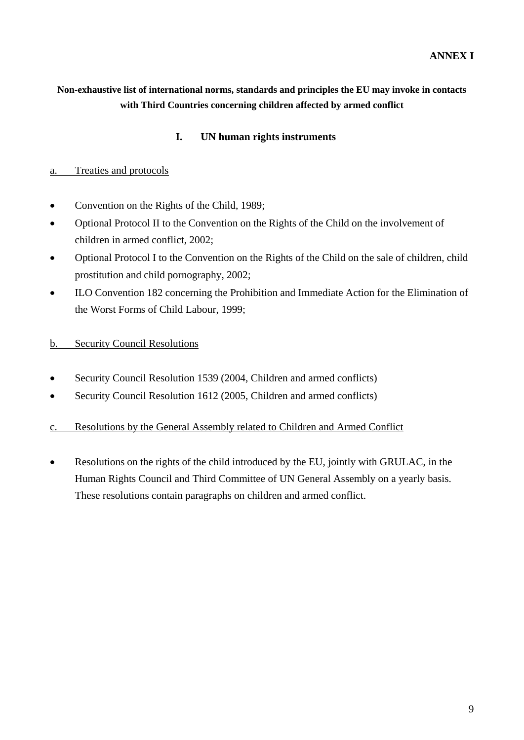# **Non-exhaustive list of international norms, standards and principles the EU may invoke in contacts with Third Countries concerning children affected by armed conflict**

# **I. UN human rights instruments**

## a. Treaties and protocols

- Convention on the Rights of the Child, 1989;
- Optional Protocol II to the Convention on the Rights of the Child on the involvement of children in armed conflict, 2002;
- Optional Protocol I to the Convention on the Rights of the Child on the sale of children, child prostitution and child pornography, 2002;
- ILO Convention 182 concerning the Prohibition and Immediate Action for the Elimination of the Worst Forms of Child Labour, 1999;

# b. Security Council Resolutions

- Security Council Resolution 1539 (2004, Children and armed conflicts)
- Security Council Resolution 1612 (2005, Children and armed conflicts)
- c. Resolutions by the General Assembly related to Children and Armed Conflict
- Resolutions on the rights of the child introduced by the EU, jointly with GRULAC, in the Human Rights Council and Third Committee of UN General Assembly on a yearly basis. These resolutions contain paragraphs on children and armed conflict.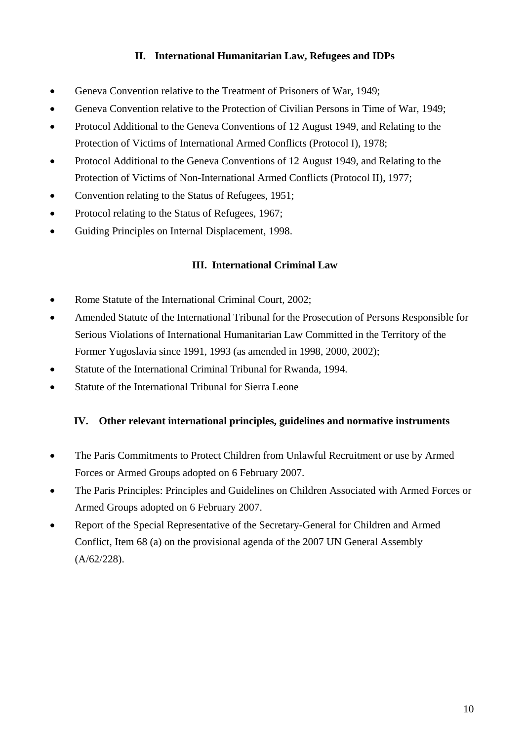# **II. International Humanitarian Law, Refugees and IDPs**

- Geneva Convention relative to the Treatment of Prisoners of War, 1949;
- Geneva Convention relative to the Protection of Civilian Persons in Time of War, 1949;
- Protocol Additional to the Geneva Conventions of 12 August 1949, and Relating to the Protection of Victims of International Armed Conflicts (Protocol I), 1978;
- Protocol Additional to the Geneva Conventions of 12 August 1949, and Relating to the Protection of Victims of Non-International Armed Conflicts (Protocol II), 1977;
- Convention relating to the Status of Refugees, 1951;
- Protocol relating to the Status of Refugees, 1967;
- Guiding Principles on Internal Displacement, 1998.

### **III. International Criminal Law**

- Rome Statute of the International Criminal Court, 2002;
- Amended Statute of the International Tribunal for the Prosecution of Persons Responsible for Serious Violations of International Humanitarian Law Committed in the Territory of the Former Yugoslavia since 1991, 1993 (as amended in 1998, 2000, 2002);
- Statute of the International Criminal Tribunal for Rwanda, 1994.
- Statute of the International Tribunal for Sierra Leone

### **IV. Other relevant international principles, guidelines and normative instruments**

- The Paris Commitments to Protect Children from Unlawful Recruitment or use by Armed Forces or Armed Groups adopted on 6 February 2007.
- The Paris Principles: Principles and Guidelines on Children Associated with Armed Forces or Armed Groups adopted on 6 February 2007.
- Report of the Special Representative of the Secretary-General for Children and Armed Conflict, Item 68 (a) on the provisional agenda of the 2007 UN General Assembly  $(A/62/228).$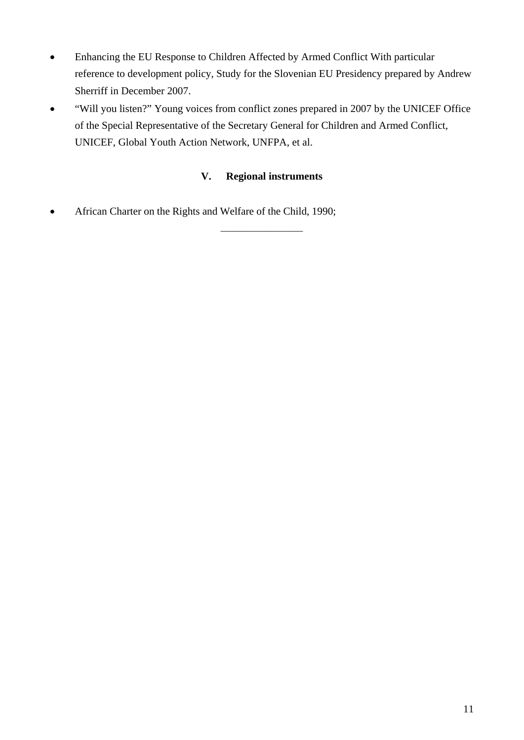- Enhancing the EU Response to Children Affected by Armed Conflict With particular reference to development policy, Study for the Slovenian EU Presidency prepared by Andrew Sherriff in December 2007.
- "Will you listen?" Young voices from conflict zones prepared in 2007 by the UNICEF Office of the Special Representative of the Secretary General for Children and Armed Conflict, UNICEF, Global Youth Action Network, UNFPA, et al.

# **V. Regional instruments**

\_\_\_\_\_\_\_\_\_\_\_\_\_\_\_\_\_

• African Charter on the Rights and Welfare of the Child, 1990;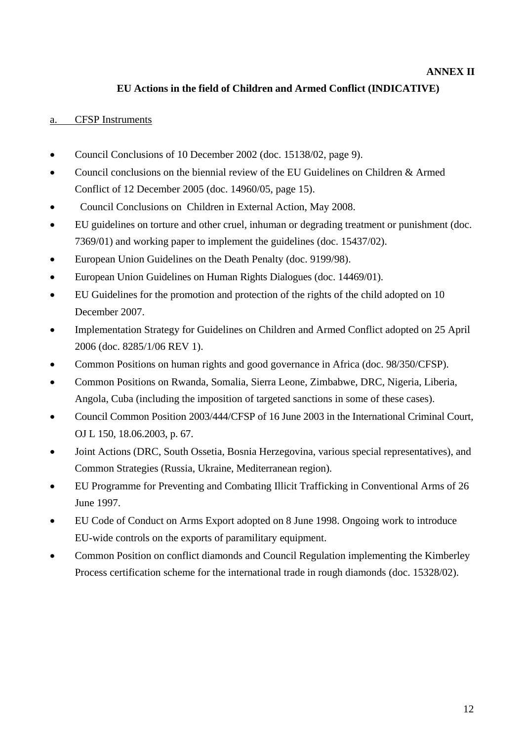### **ANNEX II**

# **EU Actions in the field of Children and Armed Conflict (INDICATIVE)**

### a. CFSP Instruments

- Council Conclusions of 10 December 2002 (doc. 15138/02, page 9).
- Council conclusions on the biennial review of the EU Guidelines on Children & Armed Conflict of 12 December 2005 (doc. 14960/05, page 15).
- Council Conclusions on Children in External Action, May 2008.
- EU guidelines on torture and other cruel, inhuman or degrading treatment or punishment (doc. 7369/01) and working paper to implement the guidelines (doc. 15437/02).
- European Union Guidelines on the Death Penalty (doc. 9199/98).
- European Union Guidelines on Human Rights Dialogues (doc. 14469/01).
- EU Guidelines for the promotion and protection of the rights of the child adopted on 10 December 2007.
- Implementation Strategy for Guidelines on Children and Armed Conflict adopted on 25 April 2006 (doc. 8285/1/06 REV 1).
- Common Positions on human rights and good governance in Africa (doc. 98/350/CFSP).
- Common Positions on Rwanda, Somalia, Sierra Leone, Zimbabwe, DRC, Nigeria, Liberia, Angola, Cuba (including the imposition of targeted sanctions in some of these cases).
- Council Common Position 2003/444/CFSP of 16 June 2003 in the International Criminal Court, OJ L 150, 18.06.2003, p. 67.
- Joint Actions (DRC, South Ossetia, Bosnia Herzegovina, various special representatives), and Common Strategies (Russia, Ukraine, Mediterranean region).
- EU Programme for Preventing and Combating Illicit Trafficking in Conventional Arms of 26 June 1997.
- EU Code of Conduct on Arms Export adopted on 8 June 1998. Ongoing work to introduce EU-wide controls on the exports of paramilitary equipment.
- Common Position on conflict diamonds and Council Regulation implementing the Kimberley Process certification scheme for the international trade in rough diamonds (doc. 15328/02).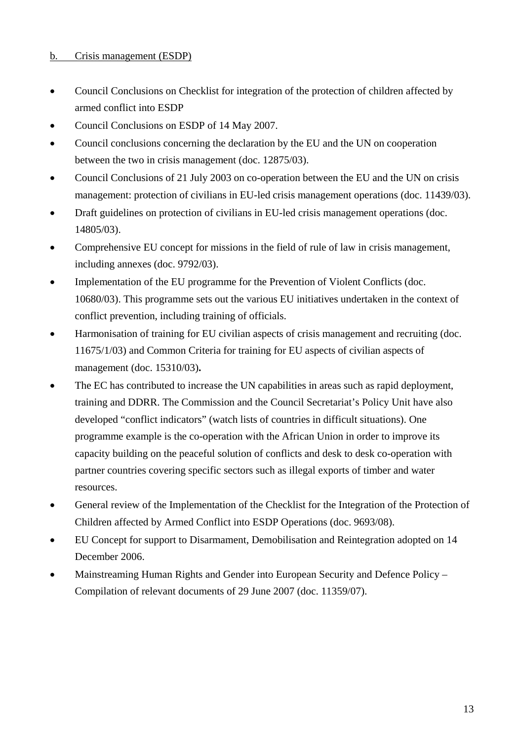## b. Crisis management (ESDP)

- Council Conclusions on Checklist for integration of the protection of children affected by armed conflict into ESDP
- Council Conclusions on ESDP of 14 May 2007.
- Council conclusions concerning the declaration by the EU and the UN on cooperation between the two in crisis management (doc. 12875/03).
- Council Conclusions of 21 July 2003 on co-operation between the EU and the UN on crisis management: protection of civilians in EU-led crisis management operations (doc. 11439/03).
- Draft guidelines on protection of civilians in EU-led crisis management operations (doc. 14805/03).
- Comprehensive EU concept for missions in the field of rule of law in crisis management, including annexes (doc. 9792/03).
- Implementation of the EU programme for the Prevention of Violent Conflicts (doc. 10680/03). This programme sets out the various EU initiatives undertaken in the context of conflict prevention, including training of officials.
- Harmonisation of training for EU civilian aspects of crisis management and recruiting (doc. 11675/1/03) and Common Criteria for training for EU aspects of civilian aspects of management (doc. 15310/03)**.**
- The EC has contributed to increase the UN capabilities in areas such as rapid deployment, training and DDRR. The Commission and the Council Secretariat's Policy Unit have also developed "conflict indicators" (watch lists of countries in difficult situations). One programme example is the co-operation with the African Union in order to improve its capacity building on the peaceful solution of conflicts and desk to desk co-operation with partner countries covering specific sectors such as illegal exports of timber and water resources.
- General review of the Implementation of the Checklist for the Integration of the Protection of Children affected by Armed Conflict into ESDP Operations (doc. 9693/08).
- EU Concept for support to Disarmament, Demobilisation and Reintegration adopted on 14 December 2006.
- Mainstreaming Human Rights and Gender into European Security and Defence Policy Compilation of relevant documents of 29 June 2007 (doc. 11359/07).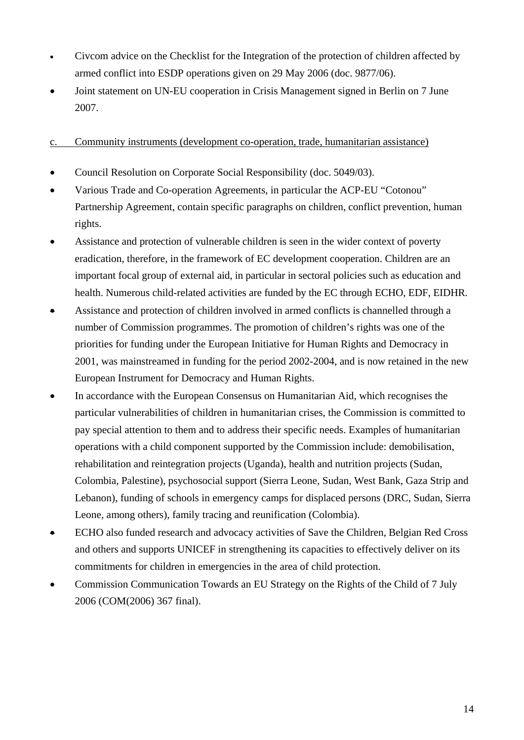- Civcom advice on the Checklist for the Integration of the protection of children affected by armed conflict into ESDP operations given on 29 May 2006 (doc. 9877/06).
- Joint statement on UN-EU cooperation in Crisis Management signed in Berlin on 7 June 2007.

### c. Community instruments (development co-operation, trade, humanitarian assistance)

- Council Resolution on Corporate Social Responsibility (doc. 5049/03).
- Various Trade and Co-operation Agreements, in particular the ACP-EU "Cotonou" Partnership Agreement, contain specific paragraphs on children, conflict prevention, human rights.
- Assistance and protection of vulnerable children is seen in the wider context of poverty eradication, therefore, in the framework of EC development cooperation. Children are an important focal group of external aid, in particular in sectoral policies such as education and health. Numerous child-related activities are funded by the EC through ECHO, EDF, EIDHR.
- Assistance and protection of children involved in armed conflicts is channelled through a number of Commission programmes. The promotion of children's rights was one of the priorities for funding under the European Initiative for Human Rights and Democracy in 2001, was mainstreamed in funding for the period 2002-2004, and is now retained in the new European Instrument for Democracy and Human Rights.
- In accordance with the European Consensus on Humanitarian Aid, which recognises the particular vulnerabilities of children in humanitarian crises, the Commission is committed to pay special attention to them and to address their specific needs. Examples of humanitarian operations with a child component supported by the Commission include: demobilisation, rehabilitation and reintegration projects (Uganda), health and nutrition projects (Sudan, Colombia, Palestine), psychosocial support (Sierra Leone, Sudan, West Bank, Gaza Strip and Lebanon), funding of schools in emergency camps for displaced persons (DRC, Sudan, Sierra Leone, among others), family tracing and reunification (Colombia).
- ECHO also funded research and advocacy activities of Save the Children, Belgian Red Cross and others and supports UNICEF in strengthening its capacities to effectively deliver on its commitments for children in emergencies in the area of child protection.
- Commission Communication Towards an EU Strategy on the Rights of the Child of 7 July 2006 (COM(2006) 367 final).